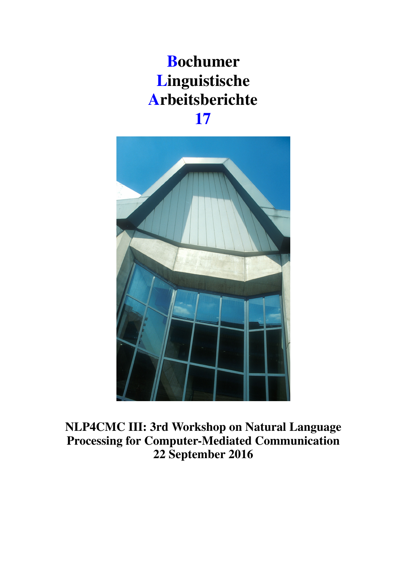# Bochumer Linguistische Arbeitsberichte 17



NLP4CMC III: 3rd Workshop on Natural Language Processing for Computer-Mediated Communication 22 September 2016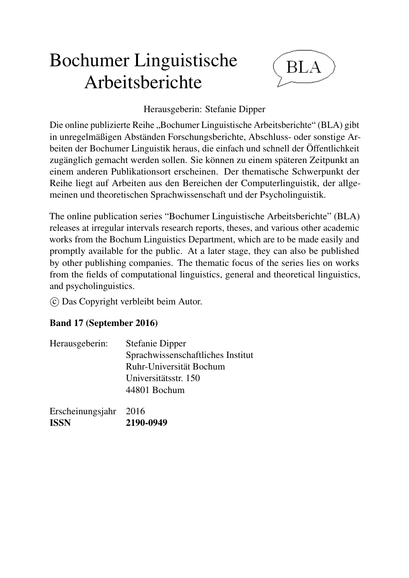# Bochumer Linguistische Arbeitsberichte



## Herausgeberin: Stefanie Dipper

Die online publizierte Reihe "Bochumer Linguistische Arbeitsberichte" (BLA) gibt in unregelmäßigen Abständen Forschungsberichte, Abschluss- oder sonstige Arbeiten der Bochumer Linguistik heraus, die einfach und schnell der Öffentlichkeit zugänglich gemacht werden sollen. Sie können zu einem späteren Zeitpunkt an einem anderen Publikationsort erscheinen. Der thematische Schwerpunkt der Reihe liegt auf Arbeiten aus den Bereichen der Computerlinguistik, der allgemeinen und theoretischen Sprachwissenschaft und der Psycholinguistik.

The online publication series "Bochumer Linguistische Arbeitsberichte" (BLA) releases at irregular intervals research reports, theses, and various other academic works from the Bochum Linguistics Department, which are to be made easily and promptly available for the public. At a later stage, they can also be published by other publishing companies. The thematic focus of the series lies on works from the fields of computational linguistics, general and theoretical linguistics, and psycholinguistics.

 $\circ$  Das Copyright verbleibt beim Autor.

## Band 17 (September 2016)

| Herausgeberin: | <b>Stefanie Dipper</b>            |
|----------------|-----------------------------------|
|                | Sprachwissenschaftliches Institut |
|                | Ruhr-Universität Bochum           |
|                | Universitätsstr. 150              |
|                | 44801 Bochum                      |
|                |                                   |

| Erscheinungsjahr 2016 |           |
|-----------------------|-----------|
| <b>ISSN</b>           | 2190-0949 |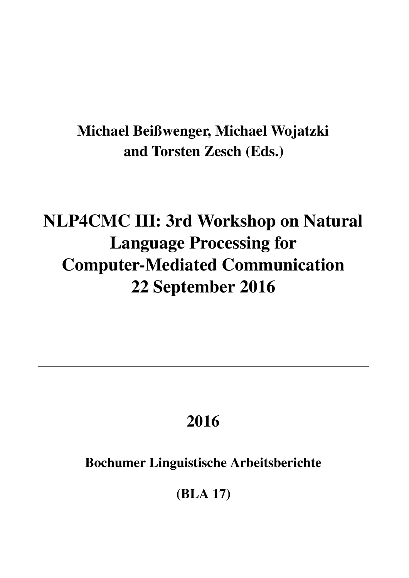## Michael Beißwenger, Michael Wojatzki and Torsten Zesch (Eds.)

# NLP4CMC III: 3rd Workshop on Natural Language Processing for Computer-Mediated Communication 22 September 2016

# 2016

## Bochumer Linguistische Arbeitsberichte

(BLA 17)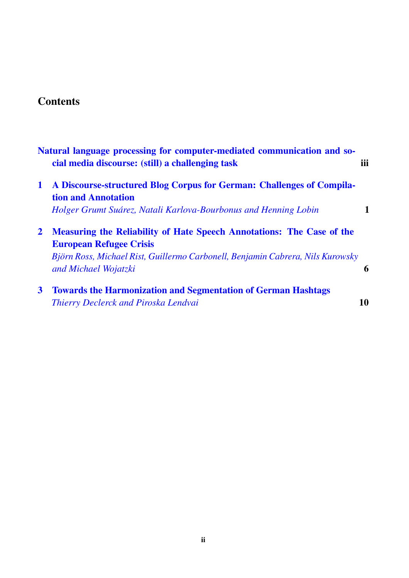## **Contents**

|              | Natural language processing for computer-mediated communication and so-<br>cial media discourse: (still) a challenging task                                                                                              | iii |
|--------------|--------------------------------------------------------------------------------------------------------------------------------------------------------------------------------------------------------------------------|-----|
| $\mathbf 1$  | A Discourse-structured Blog Corpus for German: Challenges of Compila-<br><b>tion and Annotation</b>                                                                                                                      |     |
|              | Holger Grumt Suárez, Natali Karlova-Bourbonus and Henning Lobin                                                                                                                                                          |     |
| $\mathbf{2}$ | <b>Measuring the Reliability of Hate Speech Annotations: The Case of the</b><br><b>European Refugee Crisis</b><br>Björn Ross, Michael Rist, Guillermo Carbonell, Benjamin Cabrera, Nils Kurowsky<br>and Michael Wojatzki | 6   |
| $\mathbf{3}$ | <b>Towards the Harmonization and Segmentation of German Hashtags</b><br><b>Thierry Declerck and Piroska Lendvai</b>                                                                                                      | 10  |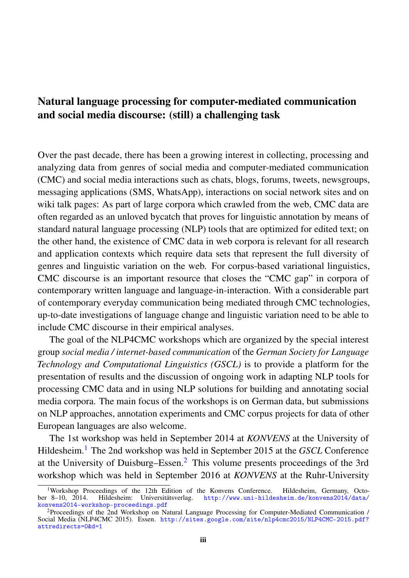## <span id="page-4-0"></span>Natural language processing for computer-mediated communication and social media discourse: (still) a challenging task

Over the past decade, there has been a growing interest in collecting, processing and analyzing data from genres of social media and computer-mediated communication (CMC) and social media interactions such as chats, blogs, forums, tweets, newsgroups, messaging applications (SMS, WhatsApp), interactions on social network sites and on wiki talk pages: As part of large corpora which crawled from the web, CMC data are often regarded as an unloved bycatch that proves for linguistic annotation by means of standard natural language processing (NLP) tools that are optimized for edited text; on the other hand, the existence of CMC data in web corpora is relevant for all research and application contexts which require data sets that represent the full diversity of genres and linguistic variation on the web. For corpus-based variational linguistics, CMC discourse is an important resource that closes the "CMC gap" in corpora of contemporary written language and language-in-interaction. With a considerable part of contemporary everyday communication being mediated through CMC technologies, up-to-date investigations of language change and linguistic variation need to be able to include CMC discourse in their empirical analyses.

The goal of the NLP4CMC workshops which are organized by the special interest group *social media / internet-based communication* of the *German Society for Language Technology and Computational Linguistics (GSCL)* is to provide a platform for the presentation of results and the discussion of ongoing work in adapting NLP tools for processing CMC data and in using NLP solutions for building and annotating social media corpora. The main focus of the workshops is on German data, but submissions on NLP approaches, annotation experiments and CMC corpus projects for data of other European languages are also welcome.

The 1st workshop was held in September 2014 at *KONVENS* at the University of Hildesheim.[1](#page-4-1) The 2nd workshop was held in September 2015 at the *GSCL* Conference at the University of Duisburg–Essen.<sup>[2](#page-4-2)</sup> This volume presents proceedings of the 3rd workshop which was held in September 2016 at *KONVENS* at the Ruhr-University

<span id="page-4-1"></span><sup>&</sup>lt;sup>1</sup>Workshop Proceedings of the 12th Edition of the Konvens Conference. Hildesheim, Germany, Octo-<br>ber 8-10, 2014. Hildesheim: Universitätsverlag. http://www.uni-hildesheim.de/konvens2014/data/ [http://www.uni-hildesheim.de/konvens2014/data/](http://www.uni-hildesheim.de/konvens2014/data/ konvens2014-workshop-proceedings.pdf) [konvens2014-workshop-proceedings.pdf](http://www.uni-hildesheim.de/konvens2014/data/ konvens2014-workshop-proceedings.pdf)

<span id="page-4-2"></span><sup>2</sup>Proceedings of the 2nd Workshop on Natural Language Processing for Computer-Mediated Communication / Social Media (NLP4CMC 2015). Essen. [http://sites.google.com/site/nlp4cmc2015/NLP4CMC-2015.pdf?](http://sites.google.com/site/nlp4cmc2015/NLP4CMC-2015.pdf? attredirects=0&d=1) [attredirects=0&d=1](http://sites.google.com/site/nlp4cmc2015/NLP4CMC-2015.pdf? attredirects=0&d=1)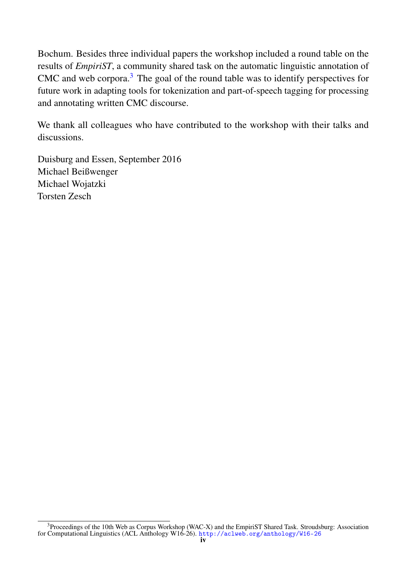Bochum. Besides three individual papers the workshop included a round table on the results of *EmpiriST*, a community shared task on the automatic linguistic annotation of CMC and web corpora. $3$  The goal of the round table was to identify perspectives for future work in adapting tools for tokenization and part-of-speech tagging for processing and annotating written CMC discourse.

We thank all colleagues who have contributed to the workshop with their talks and discussions.

Duisburg and Essen, September 2016 Michael Beißwenger Michael Wojatzki Torsten Zesch

<span id="page-5-0"></span> $3$ Proceedings of the 10th Web as Corpus Workshop (WAC-X) and the EmpiriST Shared Task. Stroudsburg: Association for Computational Linguistics (ACL Anthology W16-26). <http://aclweb.org/anthology/W16-26>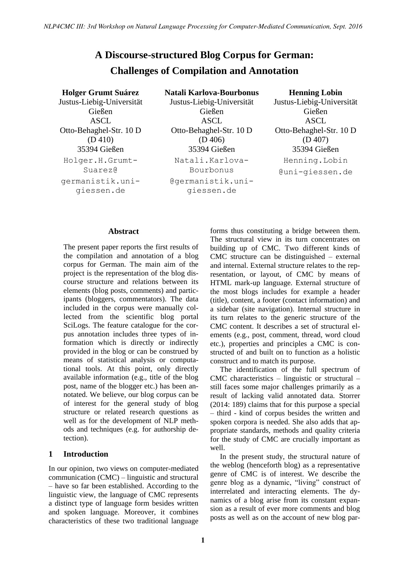## <span id="page-6-0"></span>**A Discourse-structured Blog Corpus for German: Challenges of Compilation and Annotation**

**Holger Grumt Suárez** Justus-Liebig-Universität Gießen ASCL Otto-Behaghel-Str. 10 D (D 410) 35394 Gießen Holger.H.Grumt-Suarez@ germanistik.unigiessen.de

**Natali Karlova-Bourbonus** Justus-Liebig-Universität Gießen ASCL Otto-Behaghel-Str. 10 D (D 406) 35394 Gießen Natali.Karlova-Bourbonus

@germanistik.unigiessen.de

**Henning Lobin** Justus-Liebig-Universität Gießen ASCL

Otto-Behaghel-Str. 10 D (D 407) 35394 Gießen Henning.Lobin @uni-giessen.de

#### **Abstract**

The present paper reports the first results of the compilation and annotation of a blog corpus for German. The main aim of the project is the representation of the blog discourse structure and relations between its elements (blog posts, comments) and participants (bloggers, commentators). The data included in the corpus were manually collected from the scientific blog portal SciLogs. The feature catalogue for the corpus annotation includes three types of information which is directly or indirectly provided in the blog or can be construed by means of statistical analysis or computational tools. At this point, only directly available information (e.g., title of the blog post, name of the blogger etc.) has been annotated. We believe, our blog corpus can be of interest for the general study of blog structure or related research questions as well as for the development of NLP methods and techniques (e.g. for authorship detection).

### **1 Introduction**

In our opinion, two views on computer-mediated communication (CMC) – linguistic and structural – have so far been established. According to the linguistic view, the language of CMC represents a distinct type of language form besides written and spoken language. Moreover, it combines characteristics of these two traditional language forms thus constituting a bridge between them. The structural view in its turn concentrates on building up of CMC. Two different kinds of CMC structure can be distinguished – external and internal. External structure relates to the representation, or layout, of CMC by means of HTML mark-up language. External structure of the most blogs includes for example a header (title), content, a footer (contact information) and a sidebar (site navigation). Internal structure in its turn relates to the generic structure of the CMC content. It describes a set of structural elements (e.g., post, comment, thread, word cloud etc.), properties and principles a CMC is constructed of and built on to function as a holistic construct and to match its purpose.

The identification of the full spectrum of CMC characteristics – linguistic or structural – still faces some major challenges primarily as a result of lacking valid annotated data. Storrer (2014: 189) claims that for this purpose a special – third - kind of corpus besides the written and spoken corpora is needed. She also adds that appropriate standards, methods and quality criteria for the study of CMC are crucially important as well.

In the present study, the structural nature of the weblog (henceforth blog) as a representative genre of CMC is of interest. We describe the genre blog as a dynamic, "living" construct of interrelated and interacting elements. The dynamics of a blog arise from its constant expansion as a result of ever more comments and blog posts as well as on the account of new blog par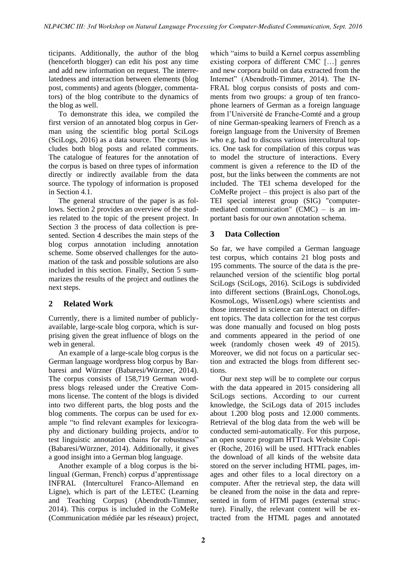ticipants. Additionally, the author of the blog (henceforth blogger) can edit his post any time and add new information on request. The interrelatedness and interaction between elements (blog post, comments) and agents (blogger, commentators) of the blog contribute to the dynamics of the blog as well.

To demonstrate this idea, we compiled the first version of an annotated blog corpus in German using the scientific blog portal SciLogs (SciLogs, 2016) as a data source. The corpus includes both blog posts and related comments. The catalogue of features for the annotation of the corpus is based on three types of information directly or indirectly available from the data source. The typology of information is proposed in Section 4.1.

The general structure of the paper is as follows. Section 2 provides an overview of the studies related to the topic of the present project. In Section 3 the process of data collection is presented. Section 4 describes the main steps of the blog corpus annotation including annotation scheme. Some observed challenges for the automation of the task and possible solutions are also included in this section. Finally, Section 5 summarizes the results of the project and outlines the next steps.

## **2 Related Work**

Currently, there is a limited number of publiclyavailable, large-scale blog corpora, which is surprising given the great influence of blogs on the web in general.

An example of a large-scale blog corpus is the German language wordpress blog corpus by Barbaresi and Würzner (Babaresi/Würzner, 2014). The corpus consists of 158,719 German wordpress blogs released under the Creative Commons license. The content of the blogs is divided into two different parts, the blog posts and the blog comments. The corpus can be used for example "to find relevant examples for lexicography and dictionary building projects, and/or to test linguistic annotation chains for robustness" (Babaresi/Würzner, 2014). Additionally, it gives a good insight into a German blog language.

Another example of a blog corpus is the bilingual (German, French) corpus d'apprentissage INFRAL (Interculturel Franco-Allemand en Ligne), which is part of the LETEC (Learning and Teaching Corpus) (Abendroth-Timmer, 2014). This corpus is included in the CoMeRe (Communication médiée par les réseaux) project, which "aims to build a Kernel corpus assembling existing corpora of different CMC […] genres and new corpora build on data extracted from the Internet" (Abendroth-Timmer, 2014). The IN-FRAL blog corpus consists of posts and comments from two groups: a group of ten francophone learners of German as a foreign language from l'Université de Franche-Comté and a group of nine German-speaking learners of French as a foreign language from the University of Bremen who e.g. had to discuss various intercultural topics. One task for compilation of this corpus was to model the structure of interactions. Every comment is given a reference to the ID of the post, but the links between the comments are not included. The TEI schema developed for the CoMeRe project – this project is also part of the TEI special interest group (SIG) "computermediated communication"  $(CMC)$  – is an important basis for our own annotation schema.

## **3 Data Collection**

So far, we have compiled a German language test corpus, which contains 21 blog posts and 195 comments. The source of the data is the prerelaunched version of the scientific blog portal SciLogs (SciLogs, 2016). SciLogs is subdivided into different sections (BrainLogs, ChonoLogs, KosmoLogs, WissenLogs) where scientists and those interested in science can interact on different topics. The data collection for the test corpus was done manually and focused on blog posts and comments appeared in the period of one week (randomly chosen week 49 of 2015). Moreover, we did not focus on a particular section and extracted the blogs from different sections.

Our next step will be to complete our corpus with the data appeared in 2015 considering all SciLogs sections. According to our current knowledge, the SciLogs data of 2015 includes about 1.200 blog posts and 12.000 comments. Retrieval of the blog data from the web will be conducted semi-automatically. For this purpose, an open source program HTTrack Website Copier (Roche, 2016) will be used. HTTrack enables the download of all kinds of the website data stored on the server including HTML pages, images and other files to a local directory on a computer. After the retrieval step, the data will be cleaned from the noise in the data and represented in form of HTMl pages (external structure). Finally, the relevant content will be extracted from the HTML pages and annotated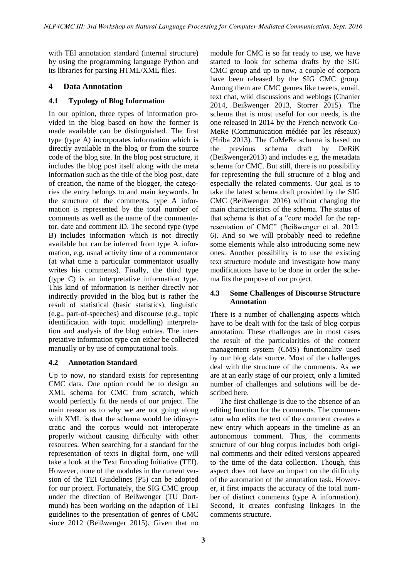with TEI annotation standard (internal structure) by using the programming language Python and its libraries for parsing HTML/XML files.

## **4 Data Annotation**

## **4.1 Typology of Blog Information**

In our opinion, three types of information provided in the blog based on how the former is made available can be distinguished. The first type (type A) incorporates information which is directly available in the blog or from the source code of the blog site. In the blog post structure, it includes the blog post itself along with the meta information such as the title of the blog post, date of creation, the name of the blogger, the categories the entry belongs to and main keywords. In the structure of the comments, type A information is represented by the total number of comments as well as the name of the commentator, date and comment ID. The second type (type B) includes information which is not directly available but can be inferred from type A information, e.g. usual activity time of a commentator (at what time a particular commentator usually writes his comments). Finally, the third type (type C) is an interpretative information type. This kind of information is neither directly nor indirectly provided in the blog but is rather the result of statistical (basic statistics), linguistic (e.g., part-of-speeches) and discourse (e.g., topic identification with topic modelling) interpretation and analysis of the blog entries. The interpretative information type can either be collected manually or by use of computational tools.

## **4.2 Annotation Standard**

Up to now, no standard exists for representing CMC data. One option could be to design an XML schema for CMC from scratch, which would perfectly fit the needs of our project. The main reason as to why we are not going along with XML is that the schema would be idiosyncratic and the corpus would not interoperate properly without causing difficulty with other resources. When searching for a standard for the representation of texts in digital form, one will take a look at the Text Encoding Initiative (TEI). However, none of the modules in the current version of the TEI Guidelines (P5) can be adopted for our project. Fortunately, the SIG CMC group under the direction of Beißwenger (TU Dortmund) has been working on the adaption of TEI guidelines to the presentation of genres of CMC since 2012 (Beißwenger 2015). Given that no module for CMC is so far ready to use, we have started to look for schema drafts by the SIG CMC group and up to now, a couple of corpora have been released by the SIG CMC group. Among them are CMC genres like tweets, email, text chat, wiki discussions and weblogs (Chanier 2014, Beißwenger 2013, Storrer 2015). The schema that is most useful for our needs, is the one released in 2014 by the French network Co-MeRe (Communication médiée par les réseaux) (Hriba 2013). The CoMeRe schema is based on the previous schema draft by DeRiK (Beißwenger2013) and includes e.g. the metadata schema for CMC. But still, there is no possibility for representing the full structure of a blog and especially the related comments. Our goal is to take the latest schema draft provided by the SIG CMC (Beißwenger 2016) without changing the main characteristics of the schema. The status of that schema is that of a "core model for the representation of CMC" (Beißwenger et al. 2012: 6). And so we will probably need to redefine some elements while also introducing some new ones. Another possibility is to use the existing text structure module and investigate how many modifications have to be done in order the schema fits the purpose of our project.

## **4.3 Some Challenges of Discourse Structure Annotation**

There is a number of challenging aspects which have to be dealt with for the task of blog corpus annotation. These challenges are in most cases the result of the particularities of the content management system (CMS) functionality used by our blog data source. Most of the challenges deal with the structure of the comments. As we are at an early stage of our project, only a limited number of challenges and solutions will be described here.

The first challenge is due to the absence of an editing function for the comments. The commentator who edits the text of the comment creates a new entry which appears in the timeline as an autonomous comment. Thus, the comments structure of our blog corpus includes both original comments and their edited versions appeared to the time of the data collection. Though, this aspect does not have an impact on the difficulty of the automation of the annotation task. However, it first impacts the accuracy of the total number of distinct comments (type A information). Second, it creates confusing linkages in the comments structure.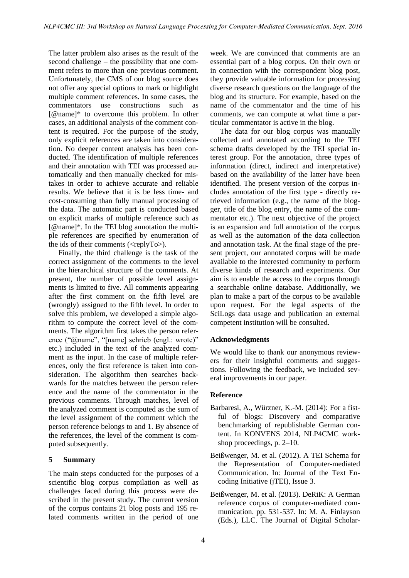The latter problem also arises as the result of the second challenge – the possibility that one comment refers to more than one previous comment. Unfortunately, the CMS of our blog source does not offer any special options to mark or highlight multiple comment references. In some cases, the commentators use constructions such as [@name]\* to overcome this problem. In other cases, an additional analysis of the comment content is required. For the purpose of the study, only explicit references are taken into consideration. No deeper content analysis has been conducted. The identification of multiple references and their annotation with TEI was processed automatically and then manually checked for mistakes in order to achieve accurate and reliable results. We believe that it is be less time- and cost-consuming than fully manual processing of the data. The automatic part is conducted based on explicit marks of multiple reference such as [@name]\*. In the TEI blog annotation the multiple references are specified by enumeration of the ids of their comments ( $\langle \text{replyTo} \rangle$ ).

Finally, the third challenge is the task of the correct assignment of the comments to the level in the hierarchical structure of the comments. At present, the number of possible level assignments is limited to five. All comments appearing after the first comment on the fifth level are (wrongly) assigned to the fifth level. In order to solve this problem, we developed a simple algorithm to compute the correct level of the comments. The algorithm first takes the person reference ("@name", "[name] schrieb (engl.: wrote)" etc.) included in the text of the analyzed comment as the input. In the case of multiple references, only the first reference is taken into consideration. The algorithm then searches backwards for the matches between the person reference and the name of the commentator in the previous comments. Through matches, level of the analyzed comment is computed as the sum of the level assignment of the comment which the person reference belongs to and 1. By absence of the references, the level of the comment is computed subsequently.

## **5 Summary**

The main steps conducted for the purposes of a scientific blog corpus compilation as well as challenges faced during this process were described in the present study. The current version of the corpus contains 21 blog posts and 195 related comments written in the period of one week. We are convinced that comments are an essential part of a blog corpus. On their own or in connection with the correspondent blog post, they provide valuable information for processing diverse research questions on the language of the blog and its structure. For example, based on the name of the commentator and the time of his comments, we can compute at what time a particular commentator is active in the blog.

The data for our blog corpus was manually collected and annotated according to the TEI schema drafts developed by the TEI special interest group. For the annotation, three types of information (direct, indirect and interpretative) based on the availability of the latter have been identified. The present version of the corpus includes annotation of the first type - directly retrieved information (e.g., the name of the blogger, title of the blog entry, the name of the commentator etc.). The next objective of the project is an expansion and full annotation of the corpus as well as the automation of the data collection and annotation task. At the final stage of the present project, our annotated corpus will be made available to the interested community to perform diverse kinds of research and experiments. Our aim is to enable the access to the corpus through a searchable online database. Additionally, we plan to make a part of the corpus to be available upon request. For the legal aspects of the SciLogs data usage and publication an external competent institution will be consulted.

#### **Acknowledgments**

We would like to thank our anonymous reviewers for their insightful comments and suggestions. Following the feedback, we included several improvements in our paper.

#### **Reference**

- Barbaresi, A., Würzner, K.-M. (2014): For a fistful of blogs: Discovery and comparative benchmarking of republishable German content. In KONVENS 2014, NLP4CMC workshop proceedings, p. 2–10.
- Beißwenger, M. et al. (2012). A TEI Schema for the Representation of Computer-mediated Communication. In: Journal of the Text Encoding Initiative (jTEI), Issue 3.
- Beißwenger, M. et al. (2013). DeRiK: A German reference corpus of computer-mediated communication. pp. 531-537. In: M. A. Finlayson (Eds.), LLC. The Journal of Digital Scholar-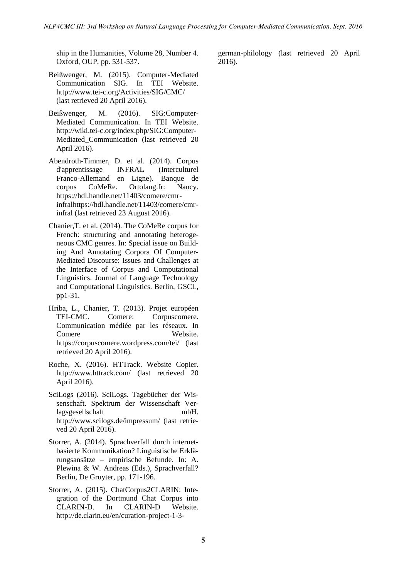ship in the Humanities, Volume 28, Number 4. Oxford, OUP, pp. 531-537.

- Beißwenger, M. (2015). Computer-Mediated Communication SIG. In TEI Website. http://www.tei-c.org/Activities/SIG/CMC/ (last retrieved 20 April 2016).
- Beißwenger, M. (2016). SIG:Computer-Mediated Communication. In TEI Website. http://wiki.tei-c.org/index.php/SIG:Computer-Mediated\_Communication (last retrieved 20 April 2016).
- Abendroth-Timmer, D. et al. (2014). Corpus d'apprentissage INFRAL (Interculturel Franco-Allemand en Ligne). Banque de corpus CoMeRe. Ortolang.fr: Nancy. https://hdl.handle.net/11403/comere/cmrinfralhttps://hdl.handle.net/11403/comere/cmrinfral (last retrieved 23 August 2016).
- Chanier,T. et al. (2014). The CoMeRe corpus for French: structuring and annotating heterogeneous CMC genres. In: Special issue on Building And Annotating Corpora Of Computer-Mediated Discourse: Issues and Challenges at the Interface of Corpus and Computational Linguistics. Journal of Language Technology and Computational Linguistics. Berlin, GSCL, pp1-31.
- Hriba, L., Chanier, T. (2013). Projet européen TEI-CMC. Comere: Corpuscomere. Communication médiée par les réseaux. In Comere Website. https://corpuscomere.wordpress.com/tei/ (last retrieved 20 April 2016).
- Roche, X. (2016). HTTrack. Website Copier. http://www.httrack.com/ (last retrieved 20 April 2016).
- SciLogs (2016). SciLogs. Tagebücher der Wissenschaft. Spektrum der Wissenschaft Verlagsgesellschaft mbH. http://www.scilogs.de/impressum/ (last retrieved 20 April 2016).
- Storrer, A. (2014). Sprachverfall durch internetbasierte Kommunikation? Linguistische Erklärungsansätze – empirische Befunde. In: A. Plewina & W. Andreas (Eds.), Sprachverfall? Berlin, De Gruyter, pp. 171-196.
- Storrer, A. (2015). ChatCorpus2CLARIN: Integration of the Dortmund Chat Corpus into CLARIN-D. In CLARIN-D Website. http://de.clarin.eu/en/curation-project-1-3-

german-philology (last retrieved 20 April 2016).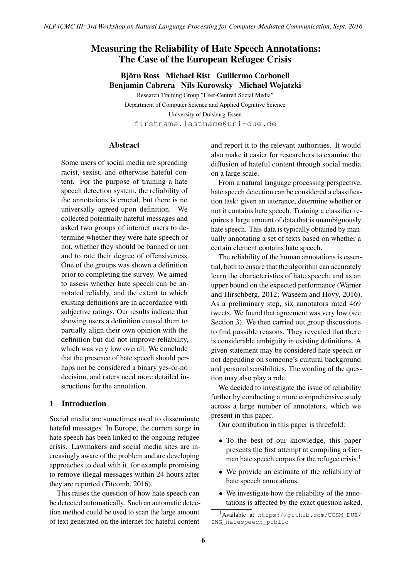## <span id="page-11-0"></span>Measuring the Reliability of Hate Speech Annotations: The Case of the European Refugee Crisis

## Björn Ross Michael Rist Guillermo Carbonell Benjamin Cabrera Nils Kurowsky Michael Wojatzki

Research Training Group "User-Centred Social Media" Department of Computer Science and Applied Cognitive Science University of Duisburg-Essen firstname.lastname@uni-due.de

#### **Abstract**

Some users of social media are spreading racist, sexist, and otherwise hateful content. For the purpose of training a hate speech detection system, the reliability of the annotations is crucial, but there is no universally agreed-upon definition. We collected potentially hateful messages and asked two groups of internet users to determine whether they were hate speech or not, whether they should be banned or not and to rate their degree of offensiveness. One of the groups was shown a definition prior to completing the survey. We aimed to assess whether hate speech can be annotated reliably, and the extent to which existing definitions are in accordance with subjective ratings. Our results indicate that showing users a definition caused them to partially align their own opinion with the definition but did not improve reliability, which was very low overall. We conclude that the presence of hate speech should perhaps not be considered a binary yes-or-no decision, and raters need more detailed instructions for the annotation.

## 1 Introduction

Social media are sometimes used to disseminate hateful messages. In Europe, the current surge in hate speech has been linked to the ongoing refugee crisis. Lawmakers and social media sites are increasingly aware of the problem and are developing approaches to deal with it, for example promising to remove illegal messages within 24 hours after they are reported (Titcomb, 2016).

This raises the question of how hate speech can be detected automatically. Such an automatic detection method could be used to scan the large amount of text generated on the internet for hateful content

and report it to the relevant authorities. It would also make it easier for researchers to examine the diffusion of hateful content through social media on a large scale.

From a natural language processing perspective, hate speech detection can be considered a classification task: given an utterance, determine whether or not it contains hate speech. Training a classifier requires a large amount of data that is unambiguously hate speech. This data is typically obtained by manually annotating a set of texts based on whether a certain element contains hate speech.

The reliability of the human annotations is essential, both to ensure that the algorithm can accurately learn the characteristics of hate speech, and as an upper bound on the expected performance (Warner and Hirschberg, 2012; Waseem and Hovy, 2016). As a preliminary step, six annotators rated 469 tweets. We found that agreement was very low (see Section 3). We then carried out group discussions to find possible reasons. They revealed that there is considerable ambiguity in existing definitions. A given statement may be considered hate speech or not depending on someone's cultural background and personal sensibilities. The wording of the question may also play a role.

We decided to investigate the issue of reliability further by conducting a more comprehensive study across a large number of annotators, which we present in this paper.

Our contribution in this paper is threefold:

- To the best of our knowledge, this paper presents the first attempt at compiling a German hate speech corpus for the refugee crisis.<sup>1</sup>
- We provide an estimate of the reliability of hate speech annotations.
- We investigate how the reliability of the annotations is affected by the exact question asked.

<sup>1</sup>Available at https://github.com/UCSM-DUE/ IWG\_hatespeech\_public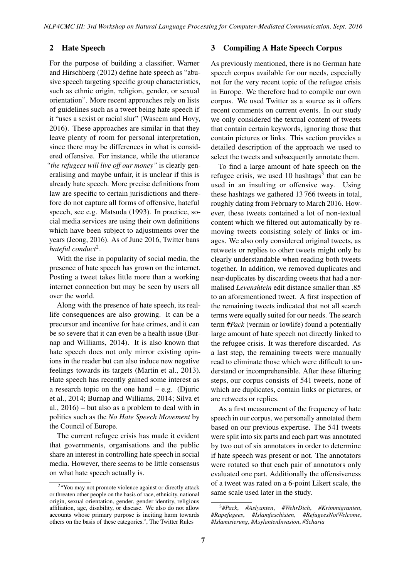## 2 Hate Speech

For the purpose of building a classifier, Warner and Hirschberg (2012) define hate speech as "abusive speech targeting specific group characteristics, such as ethnic origin, religion, gender, or sexual orientation". More recent approaches rely on lists of guidelines such as a tweet being hate speech if it "uses a sexist or racial slur" (Waseem and Hovy, 2016). These approaches are similar in that they leave plenty of room for personal interpretation, since there may be differences in what is considered offensive. For instance, while the utterance *"the refugees will live off our money"* is clearly generalising and maybe unfair, it is unclear if this is already hate speech. More precise definitions from law are specific to certain jurisdictions and therefore do not capture all forms of offensive, hateful speech, see e.g. Matsuda (1993). In practice, social media services are using their own definitions which have been subject to adjustments over the years (Jeong, 2016). As of June 2016, Twitter bans hateful conduct<sup>2</sup>.

With the rise in popularity of social media, the presence of hate speech has grown on the internet. Posting a tweet takes little more than a working internet connection but may be seen by users all over the world.

Along with the presence of hate speech, its reallife consequences are also growing. It can be a precursor and incentive for hate crimes, and it can be so severe that it can even be a health issue (Burnap and Williams, 2014). It is also known that hate speech does not only mirror existing opinions in the reader but can also induce new negative feelings towards its targets (Martin et al., 2013). Hate speech has recently gained some interest as a research topic on the one hand  $-$  e.g. (Djuric et al., 2014; Burnap and Williams, 2014; Silva et al., 2016) – but also as a problem to deal with in politics such as the *No Hate Speech Movement* by the Council of Europe.

The current refugee crisis has made it evident that governments, organisations and the public share an interest in controlling hate speech in social media. However, there seems to be little consensus on what hate speech actually is.

### 3 Compiling A Hate Speech Corpus

As previously mentioned, there is no German hate speech corpus available for our needs, especially not for the very recent topic of the refugee crisis in Europe. We therefore had to compile our own corpus. We used Twitter as a source as it offers recent comments on current events. In our study we only considered the textual content of tweets that contain certain keywords, ignoring those that contain pictures or links. This section provides a detailed description of the approach we used to select the tweets and subsequently annotate them.

To find a large amount of hate speech on the refugee crisis, we used 10 hashtags<sup>3</sup> that can be used in an insulting or offensive way. Using these hashtags we gathered 13 766 tweets in total, roughly dating from February to March 2016. However, these tweets contained a lot of non-textual content which we filtered out automatically by removing tweets consisting solely of links or images. We also only considered original tweets, as retweets or replies to other tweets might only be clearly understandable when reading both tweets together. In addition, we removed duplicates and near-duplicates by discarding tweets that had a normalised *Levenshtein* edit distance smaller than .85 to an aforementioned tweet. A first inspection of the remaining tweets indicated that not all search terms were equally suited for our needs. The search term *#Pack* (vermin or lowlife) found a potentially large amount of hate speech not directly linked to the refugee crisis. It was therefore discarded. As a last step, the remaining tweets were manually read to eliminate those which were difficult to understand or incomprehensible. After these filtering steps, our corpus consists of 541 tweets, none of which are duplicates, contain links or pictures, or are retweets or replies.

As a first measurement of the frequency of hate speech in our corpus, we personally annotated them based on our previous expertise. The 541 tweets were split into six parts and each part was annotated by two out of six annotators in order to determine if hate speech was present or not. The annotators were rotated so that each pair of annotators only evaluated one part. Additionally the offensiveness of a tweet was rated on a 6-point Likert scale, the same scale used later in the study.

<sup>&</sup>lt;sup>2</sup> 'You may not promote violence against or directly attack or threaten other people on the basis of race, ethnicity, national origin, sexual orientation, gender, gender identity, religious affiliation, age, disability, or disease. We also do not allow accounts whose primary purpose is inciting harm towards others on the basis of these categories.", The Twitter Rules

<sup>3</sup>*#Pack*, *#Aslyanten*, *#WehrDich*, *#Krimmigranten*, *#Rapefugees*, *#Islamfaschisten*, *#RefugeesNotWelcome*, *#Islamisierung*, *#AsylantenInvasion*, *#Scharia*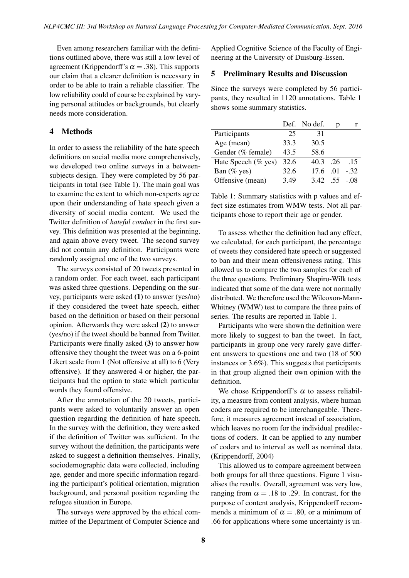Even among researchers familiar with the definitions outlined above, there was still a low level of agreement (Krippendorff's  $\alpha = .38$ ). This supports our claim that a clearer definition is necessary in order to be able to train a reliable classifier. The low reliability could of course be explained by varying personal attitudes or backgrounds, but clearly needs more consideration.

## 4 Methods

In order to assess the reliability of the hate speech definitions on social media more comprehensively, we developed two online surveys in a betweensubjects design. They were completed by 56 participants in total (see Table 1). The main goal was to examine the extent to which non-experts agree upon their understanding of hate speech given a diversity of social media content. We used the Twitter definition of *hateful conduct* in the first survey. This definition was presented at the beginning, and again above every tweet. The second survey did not contain any definition. Participants were randomly assigned one of the two surveys.

The surveys consisted of 20 tweets presented in a random order. For each tweet, each participant was asked three questions. Depending on the survey, participants were asked (1) to answer (yes/no) if they considered the tweet hate speech, either based on the definition or based on their personal opinion. Afterwards they were asked (2) to answer (yes/no) if the tweet should be banned from Twitter. Participants were finally asked (3) to answer how offensive they thought the tweet was on a 6-point Likert scale from 1 (Not offensive at all) to 6 (Very offensive). If they answered 4 or higher, the participants had the option to state which particular words they found offensive.

After the annotation of the 20 tweets, participants were asked to voluntarily answer an open question regarding the definition of hate speech. In the survey with the definition, they were asked if the definition of Twitter was sufficient. In the survey without the definition, the participants were asked to suggest a definition themselves. Finally, sociodemographic data were collected, including age, gender and more specific information regarding the participant's political orientation, migration background, and personal position regarding the refugee situation in Europe.

The surveys were approved by the ethical committee of the Department of Computer Science and

Applied Cognitive Science of the Faculty of Engineering at the University of Duisburg-Essen.

#### 5 Preliminary Results and Discussion

Since the surveys were completed by 56 participants, they resulted in 1120 annotations. Table 1 shows some summary statistics.

|                     |      | Def. No def. |        |
|---------------------|------|--------------|--------|
| Participants        | 25   | 31           |        |
| Age (mean)          | 33.3 | 30.5         |        |
| Gender (% female)   | 43.5 | 58.6         |        |
| Hate Speech (% yes) | 32.6 | 40.3 .26     | .15    |
| Ban $(\%$ yes)      | 32.6 | 17.6 .01     | $-.32$ |
| Offensive (mean)    | 3.49 | 3.42 55      | - 08   |

Table 1: Summary statistics with p values and effect size estimates from WMW tests. Not all participants chose to report their age or gender.

To assess whether the definition had any effect, we calculated, for each participant, the percentage of tweets they considered hate speech or suggested to ban and their mean offensiveness rating. This allowed us to compare the two samples for each of the three questions. Preliminary Shapiro-Wilk tests indicated that some of the data were not normally distributed. We therefore used the Wilcoxon-Mann-Whitney (WMW) test to compare the three pairs of series. The results are reported in Table 1.

Participants who were shown the definition were more likely to suggest to ban the tweet. In fact, participants in group one very rarely gave different answers to questions one and two (18 of 500 instances or 3.6%). This suggests that participants in that group aligned their own opinion with the definition.

We chose Krippendorff's  $\alpha$  to assess reliability, a measure from content analysis, where human coders are required to be interchangeable. Therefore, it measures agreement instead of association, which leaves no room for the individual predilections of coders. It can be applied to any number of coders and to interval as well as nominal data. (Krippendorff, 2004)

This allowed us to compare agreement between both groups for all three questions. Figure 1 visualises the results. Overall, agreement was very low, ranging from  $\alpha = .18$  to .29. In contrast, for the purpose of content analysis, Krippendorff recommends a minimum of  $\alpha = .80$ , or a minimum of .66 for applications where some uncertainty is un-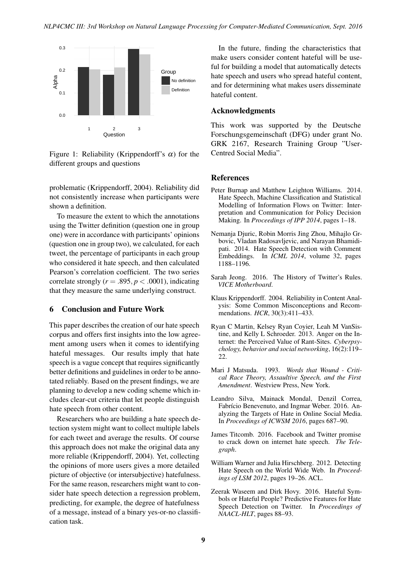

Figure 1: Reliability (Krippendorff's  $\alpha$ ) for the different groups and questions

problematic (Krippendorff, 2004). Reliability did not consistently increase when participants were shown a definition.

To measure the extent to which the annotations using the Twitter definition (question one in group one) were in accordance with participants' opinions (question one in group two), we calculated, for each tweet, the percentage of participants in each group who considered it hate speech, and then calculated Pearson's correlation coefficient. The two series correlate strongly ( $r = .895$ ,  $p < .0001$ ), indicating that they measure the same underlying construct.

### 6 Conclusion and Future Work

This paper describes the creation of our hate speech corpus and offers first insights into the low agreement among users when it comes to identifying hateful messages. Our results imply that hate speech is a vague concept that requires significantly better definitions and guidelines in order to be annotated reliably. Based on the present findings, we are planning to develop a new coding scheme which includes clear-cut criteria that let people distinguish hate speech from other content.

Researchers who are building a hate speech detection system might want to collect multiple labels for each tweet and average the results. Of course this approach does not make the original data any more reliable (Krippendorff, 2004). Yet, collecting the opinions of more users gives a more detailed picture of objective (or intersubjective) hatefulness. For the same reason, researchers might want to consider hate speech detection a regression problem, predicting, for example, the degree of hatefulness of a message, instead of a binary yes-or-no classification task.

In the future, finding the characteristics that make users consider content hateful will be useful for building a model that automatically detects hate speech and users who spread hateful content, and for determining what makes users disseminate hateful content.

### Acknowledgments

This work was supported by the Deutsche Forschungsgemeinschaft (DFG) under grant No. GRK 2167, Research Training Group "User-Centred Social Media".

### References

- Peter Burnap and Matthew Leighton Williams. 2014. Hate Speech, Machine Classification and Statistical Modelling of Information Flows on Twitter: Interpretation and Communication for Policy Decision Making. In *Proceedings of IPP 2014*, pages 1–18.
- Nemanja Djuric, Robin Morris Jing Zhou, Mihajlo Grbovic, Vladan Radosavljevic, and Narayan Bhamidipati. 2014. Hate Speech Detection with Comment Embeddings. In *ICML 2014*, volume 32, pages 1188–1196.
- Sarah Jeong. 2016. The History of Twitter's Rules. *VICE Motherboard*.
- Klaus Krippendorff. 2004. Reliability in Content Analysis: Some Common Misconceptions and Recommendations. *HCR*, 30(3):411–433.
- Ryan C Martin, Kelsey Ryan Coyier, Leah M VanSistine, and Kelly L Schroeder. 2013. Anger on the Internet: the Perceived Value of Rant-Sites. *Cyberpsychology, behavior and social networking*, 16(2):119– 22.
- Mari J Matsuda. 1993. *Words that Wound Critical Race Theory, Assaultive Speech, and the First Amendment*. Westview Press, New York.
- Leandro Silva, Mainack Mondal, Denzil Correa, Fabrício Benevenuto, and Ingmar Weber. 2016. Analyzing the Targets of Hate in Online Social Media. In *Proceedings of ICWSM 2016*, pages 687–90.
- James Titcomb. 2016. Facebook and Twitter promise to crack down on internet hate speech. *The Telegraph*.
- William Warner and Julia Hirschberg. 2012. Detecting Hate Speech on the World Wide Web. In *Proceedings of LSM 2012*, pages 19–26. ACL.
- Zeerak Waseem and Dirk Hovy. 2016. Hateful Symbols or Hateful People? Predictive Features for Hate Speech Detection on Twitter. In *Proceedings of NAACL-HLT*, pages 88–93.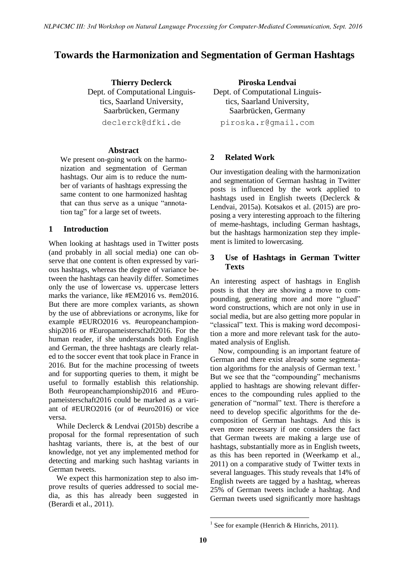## <span id="page-15-0"></span>**Towards the Harmonization and Segmentation of German Hashtags**

**Thierry Declerck** Dept. of Computational Linguistics, Saarland University, Saarbrücken, Germany declerck@dfki.de

## **Abstract**

We present on-going work on the harmonization and segmentation of German hashtags. Our aim is to reduce the number of variants of hashtags expressing the same content to one harmonized hashtag that can thus serve as a unique "annotation tag" for a large set of tweets.

## **1 Introduction**

When looking at hashtags used in Twitter posts (and probably in all social media) one can observe that one content is often expressed by various hashtags, whereas the degree of variance between the hashtags can heavily differ. Sometimes only the use of lowercase vs. uppercase letters marks the variance, like #EM2016 vs. #em2016. But there are more complex variants, as shown by the use of abbreviations or acronyms, like for example #EURO2016 vs. #europeanchampionship2016 or #Europameisterschaft2016. For the human reader, if she understands both English and German, the three hashtags are clearly related to the soccer event that took place in France in 2016. But for the machine processing of tweets and for supporting queries to them, it might be useful to formally establish this relationship. Both #europeanchampionship2016 and #Europameisterschaft2016 could be marked as a variant of #EURO2016 (or of #euro2016) or vice versa.

While Declerck & Lendvai (2015b) describe a proposal for the formal representation of such hashtag variants, there is, at the best of our knowledge, not yet any implemented method for detecting and marking such hashtag variants in German tweets.

We expect this harmonization step to also improve results of queries addressed to social media, as this has already been suggested in (Berardi et al., 2011).

**Piroska Lendvai** Dept. of Computational Linguistics, Saarland University, Saarbrücken, Germany piroska.r@gmail.com

## **2 Related Work**

Our investigation dealing with the harmonization and segmentation of German hashtag in Twitter posts is influenced by the work applied to hashtags used in English tweets (Declerck & Lendvai, 2015a). Kotsakos et al. (2015) are proposing a very interesting approach to the filtering of meme-hashtags, including German hashtags, but the hashtags harmonization step they implement is limited to lowercasing.

## **3 Use of Hashtags in German Twitter Texts**

An interesting aspect of hashtags in English posts is that they are showing a move to compounding, generating more and more "glued" word constructions, which are not only in use in social media, but are also getting more popular in "classical" text. This is making word decomposition a more and more relevant task for the automated analysis of English.

Now, compounding is an important feature of German and there exist already some segmentation algorithms for the analysis of German text.<sup>1</sup> But we see that the "compounding" mechanisms applied to hashtags are showing relevant differences to the compounding rules applied to the generation of "normal" text. There is therefore a need to develop specific algorithms for the decomposition of German hashtags. And this is even more necessary if one considers the fact that German tweets are making a large use of hashtags, substantially more as in English tweets, as this has been reported in (Weerkamp et al., 2011) on a comparative study of Twitter texts in several languages. This study reveals that 14% of English tweets are tagged by a hashtag, whereas 25% of German tweets include a hashtag. And German tweets used significantly more hashtags

<sup>&</sup>lt;sup>1</sup> See for example (Henrich & Hinrichs, 2011).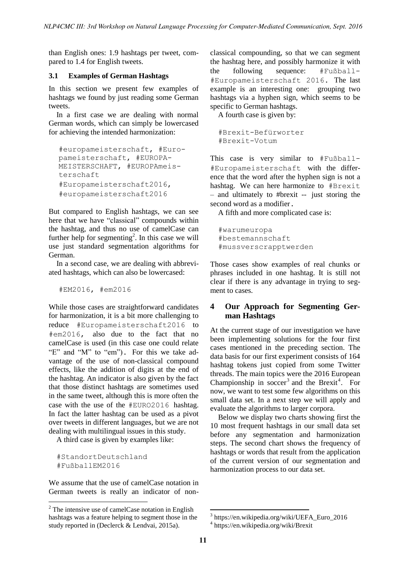than English ones: 1.9 hashtags per tweet, compared to 1.4 for English tweets.

### **3.1 Examples of German Hashtags**

In this section we present few examples of hashtags we found by just reading some German tweets.

In a first case we are dealing with normal German words, which can simply be lowercased for achieving the intended harmonization:

```
#europameisterschaft, #Euro-
pameisterschaft, #EUROPA-
MEISTERSCHAFT, #EUROPAmeis-
terschaft
#Europameisterschaft2016, 
#europameisterschaft2016
```
But compared to English hashtags, we can see here that we have "classical" compounds within the hashtag, and thus no use of camelCase can further help for segmenting<sup>2</sup>. In this case we will use just standard segmentation algorithms for German.

In a second case, we are dealing with abbreviated hashtags, which can also be lowercased:

#EM2016, #em2016

While those cases are straightforward candidates for harmonization, it is a bit more challenging to reduce #Europameisterschaft2016 to #em2016, also due to the fact that no camelCase is used (in this case one could relate "E" and "M" to "em"). For this we take advantage of the use of non-classical compound effects, like the addition of digits at the end of the hashtag. An indicator is also given by the fact that those distinct hashtags are sometimes used in the same tweet, although this is more often the case with the use of the #EURO2016 hashtag. In fact the latter hashtag can be used as a pivot over tweets in different languages, but we are not dealing with multilingual issues in this study.

A third case is given by examples like:

#StandortDeutschland #FußballEM2016

We assume that the use of camelCase notation in German tweets is really an indicator of nonclassical compounding, so that we can segment the hashtag here, and possibly harmonize it with the following sequence: #Fußball- #Europameisterschaft 2016. The last example is an interesting one: grouping two hashtags via a hyphen sign, which seems to be specific to German hashtags.

A fourth case is given by:

```
#Brexit-Befürworter
#Brexit-Votum
```
This case is very similar to #Fußball- #Europameisterschaft with the difference that the word after the hyphen sign is not a hashtag. We can here harmonize to #Brexit – and ultimately to #brexit -- just storing the second word as a modifier.

A fifth and more complicated case is:

#warumeuropa #bestemannschaft #mussverscrapptwerden

Those cases show examples of real chunks or phrases included in one hashtag. It is still not clear if there is any advantage in trying to segment to cases.

## **4 Our Approach for Segmenting German Hashtags**

At the current stage of our investigation we have been implementing solutions for the four first cases mentioned in the preceding section. The data basis for our first experiment consists of 164 hashtag tokens just copied from some Twitter threads. The main topics were the 2016 European Championship in  $\text{soccer}^3$  and the Brexit<sup>4</sup>. For now, we want to test some few algorithms on this small data set. In a next step we will apply and evaluate the algorithms to larger corpora.

Below we display two charts showing first the 10 most frequent hashtags in our small data set before any segmentation and harmonization steps. The second chart shows the frequency of hashtags or words that result from the application of the current version of our segmentation and harmonization process to our data set.

<sup>2</sup> The intensive use of camelCase notation in English hashtags was a feature helping to segment those in the study reported in (Declerck & Lendvai, 2015a).

<sup>3</sup> https://en.wikipedia.org/wiki/UEFA\_Euro\_2016

<sup>4</sup> https://en.wikipedia.org/wiki/Brexit